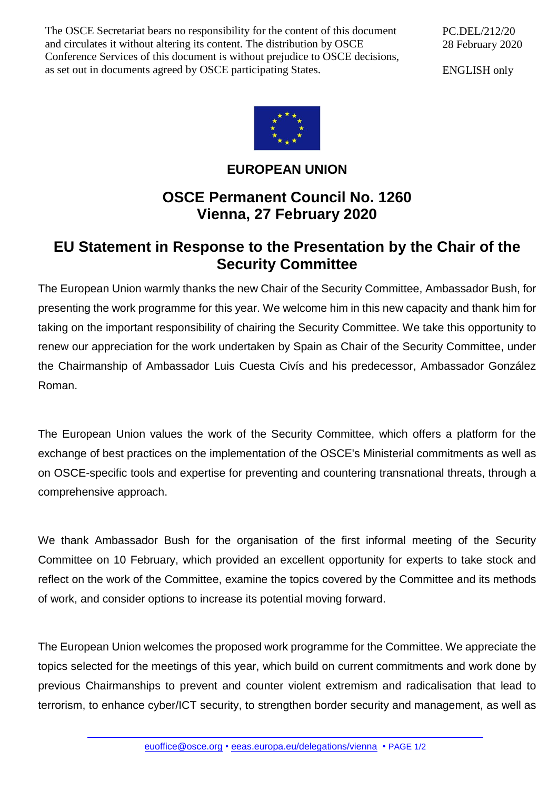The OSCE Secretariat bears no responsibility for the content of this document and circulates it without altering its content. The distribution by OSCE Conference Services of this document is without prejudice to OSCE decisions, as set out in documents agreed by OSCE participating States.

PC.DEL/212/20 28 February 2020

ENGLISH only



## **EUROPEAN UNION**

## **OSCE Permanent Council No. 1260 Vienna, 27 February 2020**

## **EU Statement in Response to the Presentation by the Chair of the Security Committee**

The European Union warmly thanks the new Chair of the Security Committee, Ambassador Bush, for presenting the work programme for this year. We welcome him in this new capacity and thank him for taking on the important responsibility of chairing the Security Committee. We take this opportunity to renew our appreciation for the work undertaken by Spain as Chair of the Security Committee, under the Chairmanship of Ambassador Luis Cuesta Civís and his predecessor, Ambassador González Roman.

The European Union values the work of the Security Committee, which offers a platform for the exchange of best practices on the implementation of the OSCE's Ministerial commitments as well as on OSCE-specific tools and expertise for preventing and countering transnational threats, through a comprehensive approach.

We thank Ambassador Bush for the organisation of the first informal meeting of the Security Committee on 10 February, which provided an excellent opportunity for experts to take stock and reflect on the work of the Committee, examine the topics covered by the Committee and its methods of work, and consider options to increase its potential moving forward.

The European Union welcomes the proposed work programme for the Committee. We appreciate the topics selected for the meetings of this year, which build on current commitments and work done by previous Chairmanships to prevent and counter violent extremism and radicalisation that lead to terrorism, to enhance cyber/ICT security, to strengthen border security and management, as well as